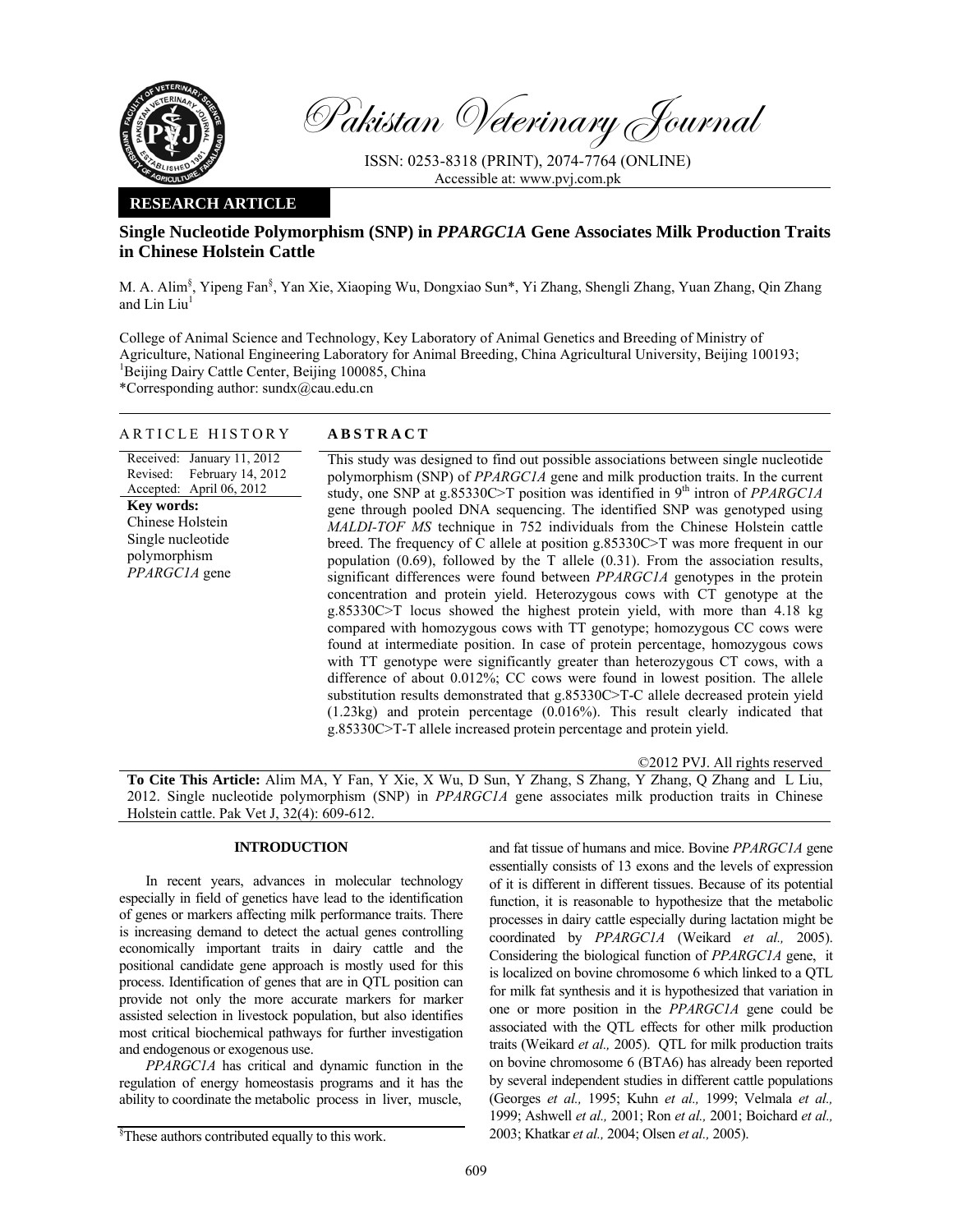

Pakistan Veterinary Journal

ISSN: 0253-8318 (PRINT), 2074-7764 (ONLINE) Accessible at: www.pvj.com.pk

## **RESEARCH ARTICLE**

# **Single Nucleotide Polymorphism (SNP) in** *PPARGC1A* **Gene Associates Milk Production Traits in Chinese Holstein Cattle**

M. A. Alim<sup>§</sup>, Yipeng Fan<sup>§</sup>, Yan Xie, Xiaoping Wu, Dongxiao Sun\*, Yi Zhang, Shengli Zhang, Yuan Zhang, Qin Zhang and  $Lin$  Liu<sup>1</sup>

College of Animal Science and Technology, Key Laboratory of Animal Genetics and Breeding of Ministry of Agriculture, National Engineering Laboratory for Animal Breeding, China Agricultural University, Beijing 100193; <sup>1</sup>Beijing Dairy Cattle Center, Beijing 100085, China

\*Corresponding author: sundx@cau.edu.cn

## ARTICLE HISTORY **ABSTRACT**

Received: January 11, 2012 Revised: Accepted: April 06, 2012 February 14, 2012 **Key words:**  Chinese Holstein Single nucleotide polymorphism *PPARGC1A* gene

This study was designed to find out possible associations between single nucleotide polymorphism (SNP) of *PPARGC1A* gene and milk production traits. In the current study, one SNP at g.85330C>T position was identified in 9<sup>th</sup> intron of *PPARGC1A* gene through pooled DNA sequencing. The identified SNP was genotyped using *MALDI-TOF MS* technique in 752 individuals from the Chinese Holstein cattle breed. The frequency of C allele at position g.85330C>T was more frequent in our population (0.69), followed by the T allele (0.31). From the association results, significant differences were found between *PPARGC1A* genotypes in the protein concentration and protein yield. Heterozygous cows with CT genotype at the g.85330C>T locus showed the highest protein yield, with more than 4.18 kg compared with homozygous cows with TT genotype; homozygous CC cows were found at intermediate position. In case of protein percentage, homozygous cows with TT genotype were significantly greater than heterozygous CT cows, with a difference of about 0.012%; CC cows were found in lowest position. The allele substitution results demonstrated that g.85330C>T-C allele decreased protein yield (1.23kg) and protein percentage (0.016%). This result clearly indicated that g.85330C>T-T allele increased protein percentage and protein yield.

©2012 PVJ. All rights reserved

**To Cite This Article:** Alim MA, Y Fan, Y Xie, X Wu, D Sun, Y Zhang, S Zhang, Y Zhang, Q Zhang and L Liu, 2012. Single nucleotide polymorphism (SNP) in *PPARGC1A* gene associates milk production traits in Chinese Holstein cattle. Pak Vet J, 32(4): 609-612.

## **INTRODUCTION**

In recent years, advances in molecular technology especially in field of genetics have lead to the identification of genes or markers affecting milk performance traits. There is increasing demand to detect the actual genes controlling economically important traits in dairy cattle and the positional candidate gene approach is mostly used for this process. Identification of genes that are in QTL position can provide not only the more accurate markers for marker assisted selection in livestock population, but also identifies most critical biochemical pathways for further investigation and endogenous or exogenous use.

*PPARGC1A* has critical and dynamic function in the regulation of energy homeostasis programs and it has the ability to coordinate the metabolic process in liver, muscle,

and fat tissue of humans and mice. Bovine *PPARGC1A* gene essentially consists of 13 exons and the levels of expression of it is different in different tissues. Because of its potential function, it is reasonable to hypothesize that the metabolic processes in dairy cattle especially during lactation might be coordinated by *PPARGC1A* (Weikard *et al.,* 2005). Considering the biological function of *PPARGC1A* gene, it is localized on bovine chromosome 6 which linked to a QTL for milk fat synthesis and it is hypothesized that variation in one or more position in the *PPARGC1A* gene could be associated with the QTL effects for other milk production traits (Weikard *et al.,* 2005). QTL for milk production traits on bovine chromosome 6 (BTA6) has already been reported by several independent studies in different cattle populations (Georges *et al.,* 1995; Kuhn *et al.,* 1999; Velmala *et al.,* 1999; Ashwell *et al.,* 2001; Ron *et al.,* 2001; Boichard *et al.,* 2003; Khatkar *et al.,* 2004; Olsen *et al.,* 2005).

<sup>§</sup> These authors contributed equally to this work.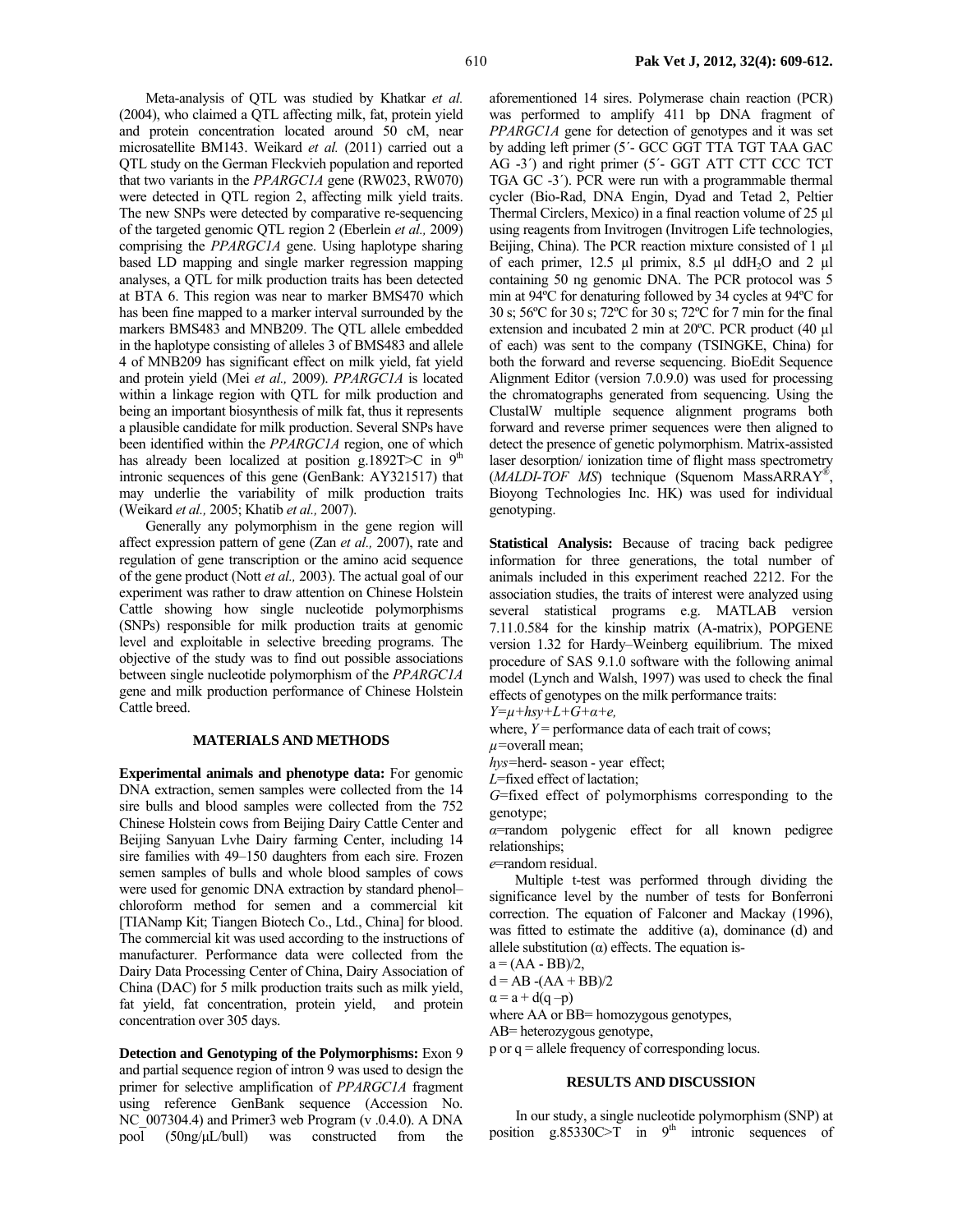Meta-analysis of QTL was studied by Khatkar *et al.* (2004), who claimed a QTL affecting milk, fat, protein yield and protein concentration located around 50 cM, near microsatellite BM143. Weikard *et al.* (2011) carried out a QTL study on the German Fleckvieh population and reported that two variants in the *PPARGC1A* gene (RW023, RW070) were detected in QTL region 2, affecting milk yield traits. The new SNPs were detected by comparative re-sequencing of the targeted genomic QTL region 2 (Eberlein *et al.,* 2009) comprising the *PPARGC1A* gene. Using haplotype sharing based LD mapping and single marker regression mapping analyses, a QTL for milk production traits has been detected at BTA 6. This region was near to marker BMS470 which has been fine mapped to a marker interval surrounded by the markers BMS483 and MNB209. The QTL allele embedded in the haplotype consisting of alleles 3 of BMS483 and allele 4 of MNB209 has significant effect on milk yield, fat yield and protein yield (Mei *et al.,* 2009). *PPARGC1A* is located within a linkage region with QTL for milk production and being an important biosynthesis of milk fat, thus it represents a plausible candidate for milk production. Several SNPs have been identified within the *PPARGC1A* region, one of which has already been localized at position g.1892T>C in  $9<sup>th</sup>$ intronic sequences of this gene (GenBank: AY321517) that may underlie the variability of milk production traits (Weikard *et al.,* 2005; Khatib *et al.,* 2007).

Generally any polymorphism in the gene region will affect expression pattern of gene (Zan *et al.,* 2007), rate and regulation of gene transcription or the amino acid sequence of the gene product (Nott *et al.,* 2003). The actual goal of our experiment was rather to draw attention on Chinese Holstein Cattle showing how single nucleotide polymorphisms (SNPs) responsible for milk production traits at genomic level and exploitable in selective breeding programs. The objective of the study was to find out possible associations between single nucleotide polymorphism of the *PPARGC1A*  gene and milk production performance of Chinese Holstein Cattle breed.

### **MATERIALS AND METHODS**

**Experimental animals and phenotype data:** For genomic DNA extraction, semen samples were collected from the 14 sire bulls and blood samples were collected from the 752 Chinese Holstein cows from Beijing Dairy Cattle Center and Beijing Sanyuan Lvhe Dairy farming Center, including 14 sire families with 49–150 daughters from each sire. Frozen semen samples of bulls and whole blood samples of cows were used for genomic DNA extraction by standard phenol– chloroform method for semen and a commercial kit [TIANamp Kit; Tiangen Biotech Co., Ltd., China] for blood. The commercial kit was used according to the instructions of manufacturer. Performance data were collected from the Dairy Data Processing Center of China, Dairy Association of China (DAC) for 5 milk production traits such as milk yield, fat yield, fat concentration, protein yield, and protein concentration over 305 days.

**Detection and Genotyping of the Polymorphisms:** Exon 9 and partial sequence region of intron 9 was used to design the primer for selective amplification of *PPARGC1A* fragment using reference GenBank sequence (Accession No. NC 007304.4) and Primer3 web Program (v .0.4.0). A DNA pool (50ng/µL/bull) was constructed from the aforementioned 14 sires. Polymerase chain reaction (PCR) was performed to amplify 411 bp DNA fragment of *PPARGC1A* gene for detection of genotypes and it was set by adding left primer (5´- GCC GGT TTA TGT TAA GAC AG -3´) and right primer (5´- GGT ATT CTT CCC TCT TGA GC -3´). PCR were run with a programmable thermal cycler (Bio-Rad, DNA Engin, Dyad and Tetad 2, Peltier Thermal Circlers, Mexico) in a final reaction volume of 25 µl using reagents from Invitrogen (Invitrogen Life technologies, Beijing, China). The PCR reaction mixture consisted of 1 µl of each primer, 12.5  $\mu$ l primix, 8.5  $\mu$ l ddH<sub>2</sub>O and 2  $\mu$ l containing 50 ng genomic DNA. The PCR protocol was 5 min at 94ºC for denaturing followed by 34 cycles at 94ºC for 30 s; 56ºC for 30 s; 72ºC for 30 s; 72ºC for 7 min for the final extension and incubated 2 min at 20ºC. PCR product (40 µl of each) was sent to the company (TSINGKE, China) for both the forward and reverse sequencing. BioEdit Sequence Alignment Editor (version 7.0.9.0) was used for processing the chromatographs generated from sequencing. Using the ClustalW multiple sequence alignment programs both forward and reverse primer sequences were then aligned to detect the presence of genetic polymorphism. Matrix-assisted laser desorption/ ionization time of flight mass spectrometry (*MALDI-TOF MS*) technique (Squenom MassARRAY®, Bioyong Technologies Inc. HK) was used for individual genotyping.

**Statistical Analysis:** Because of tracing back pedigree information for three generations, the total number of animals included in this experiment reached 2212. For the association studies, the traits of interest were analyzed using several statistical programs e.g. MATLAB version 7.11.0.584 for the kinship matrix (A-matrix), POPGENE version 1.32 for Hardy–Weinberg equilibrium. The mixed procedure of SAS 9.1.0 software with the following animal model (Lynch and Walsh, 1997) was used to check the final effects of genotypes on the milk performance traits:

*Y=µ+hsy+L+G+α+e,* 

where,  $Y =$  performance data of each trait of cows;

*µ=*overall mean;

*hys=*herd- season - year effect;

*L*=fixed effect of lactation;

*G*=fixed effect of polymorphisms corresponding to the genotype;

*α*=random polygenic effect for all known pedigree relationships;

*e*=random residual.

Multiple t-test was performed through dividing the significance level by the number of tests for Bonferroni correction. The equation of Falconer and Mackay (1996), was fitted to estimate the additive (a), dominance (d) and allele substitution  $(\alpha)$  effects. The equation is-

 $a = (AA - BB)/2$ ,

 $d = AB - (AA + BB)/2$ 

 $\alpha = a + d(q-p)$ 

where AA or BB= homozygous genotypes,

AB= heterozygous genotype,

p or q = allele frequency of corresponding locus.

#### **RESULTS AND DISCUSSION**

In our study, a single nucleotide polymorphism (SNP) at position g.85330C $\geq$ T in 9<sup>th</sup> intronic sequences of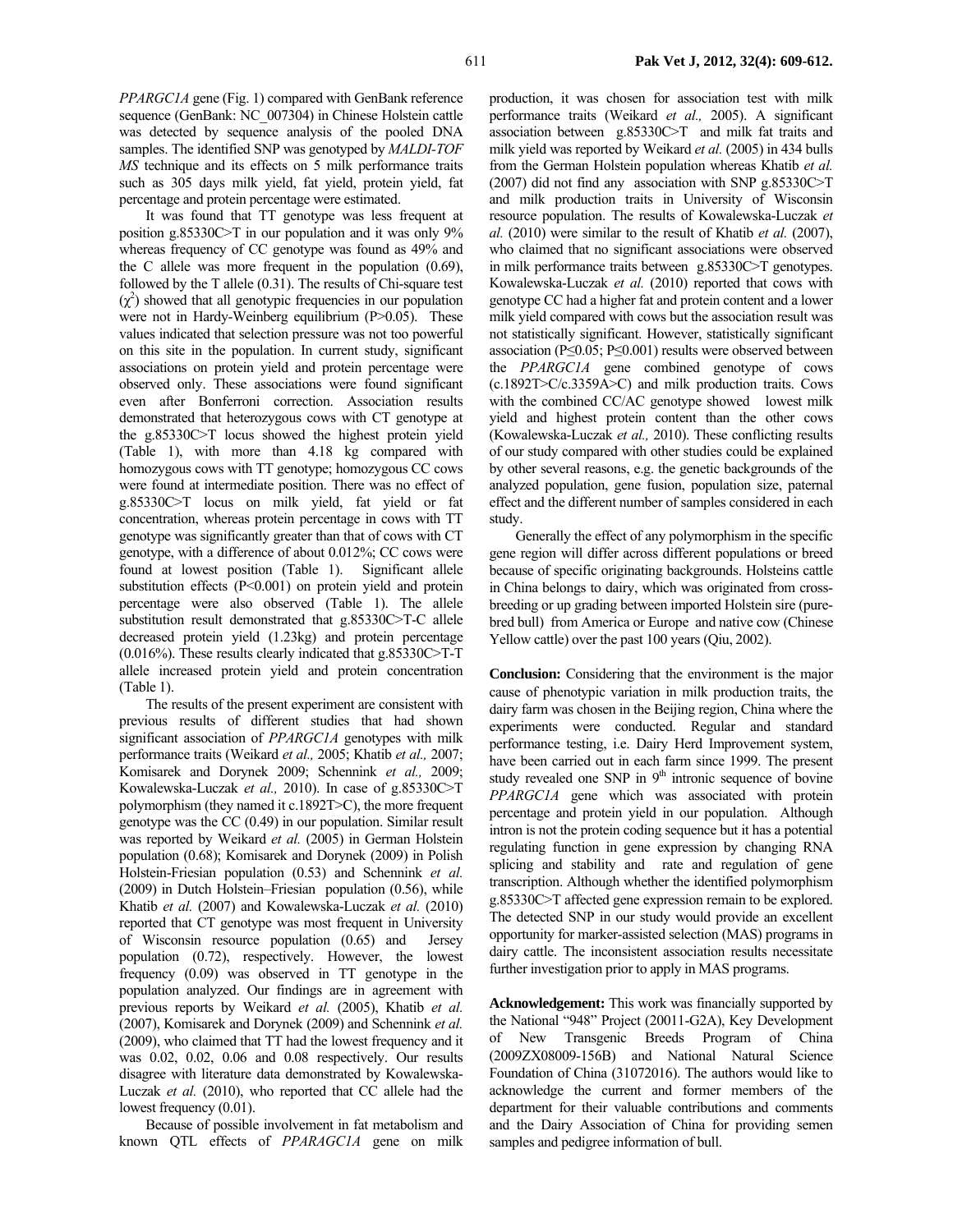*PPARGC1A* gene (Fig. 1) compared with GenBank reference sequence (GenBank: NC\_007304) in Chinese Holstein cattle was detected by sequence analysis of the pooled DNA samples. The identified SNP was genotyped by *MALDI-TOF MS* technique and its effects on 5 milk performance traits such as 305 days milk yield, fat yield, protein yield, fat percentage and protein percentage were estimated.

It was found that TT genotype was less frequent at position g.85330C>T in our population and it was only 9% whereas frequency of CC genotype was found as 49% and the C allele was more frequent in the population (0.69), followed by the T allele (0.31). The results of Chi-square test  $(χ<sup>2</sup>)$  showed that all genotypic frequencies in our population were not in Hardy-Weinberg equilibrium (P>0.05). These values indicated that selection pressure was not too powerful on this site in the population. In current study, significant associations on protein yield and protein percentage were observed only. These associations were found significant even after Bonferroni correction. Association results demonstrated that heterozygous cows with CT genotype at the g.85330C>T locus showed the highest protein yield (Table 1), with more than 4.18 kg compared with homozygous cows with TT genotype; homozygous CC cows were found at intermediate position. There was no effect of g.85330C>T locus on milk yield, fat yield or fat concentration, whereas protein percentage in cows with TT genotype was significantly greater than that of cows with CT genotype, with a difference of about 0.012%; CC cows were found at lowest position (Table 1). Significant allele substitution effects (P<0.001) on protein yield and protein percentage were also observed (Table 1). The allele substitution result demonstrated that g.85330C>T-C allele decreased protein yield (1.23kg) and protein percentage  $(0.016\%)$ . These results clearly indicated that g.85330C>T-T allele increased protein yield and protein concentration (Table 1).

The results of the present experiment are consistent with previous results of different studies that had shown significant association of *PPARGC1A* genotypes with milk performance traits (Weikard *et al.,* 2005; Khatib *et al.,* 2007; Komisarek and Dorynek 2009; Schennink *et al.,* 2009; Kowalewska-Luczak *et al.,* 2010). In case of g.85330C>T polymorphism (they named it c.1892T>C), the more frequent genotype was the CC (0.49) in our population. Similar result was reported by Weikard *et al.* (2005) in German Holstein population (0.68); Komisarek and Dorynek (2009) in Polish Holstein-Friesian population (0.53) and Schennink *et al.* (2009) in Dutch Holstein–Friesian population (0.56), while Khatib *et al.* (2007) and Kowalewska-Luczak *et al.* (2010) reported that CT genotype was most frequent in University of Wisconsin resource population (0.65) and Jersey population (0.72), respectively. However, the lowest frequency (0.09) was observed in TT genotype in the population analyzed. Our findings are in agreement with previous reports by Weikard *et al.* (2005), Khatib *et al.* (2007), Komisarek and Dorynek (2009) and Schennink *et al.* (2009), who claimed that TT had the lowest frequency and it was 0.02, 0.02, 0.06 and 0.08 respectively. Our results disagree with literature data demonstrated by Kowalewska-Luczak *et al.* (2010), who reported that CC allele had the lowest frequency (0.01).

Because of possible involvement in fat metabolism and known QTL effects of *PPARAGC1A* gene on milk

production, it was chosen for association test with milk performance traits (Weikard *et al.,* 2005). A significant association between g.85330C>T and milk fat traits and milk yield was reported by Weikard *et al.* (2005) in 434 bulls from the German Holstein population whereas Khatib *et al.* (2007) did not find any association with SNP g.85330C>T and milk production traits in University of Wisconsin resource population. The results of Kowalewska-Luczak *et al.* (2010) were similar to the result of Khatib *et al.* (2007), who claimed that no significant associations were observed in milk performance traits between g.85330C>T genotypes. Kowalewska-Luczak *et al.* (2010) reported that cows with genotype CC had a higher fat and protein content and a lower milk yield compared with cows but the association result was not statistically significant. However, statistically significant association (P≤0.05; P≤0.001) results were observed between the *PPARGC1A* gene combined genotype of cows (c.1892T>C/c.3359A>C) and milk production traits. Cows with the combined CC/AC genotype showed lowest milk yield and highest protein content than the other cows (Kowalewska-Luczak *et al.,* 2010). These conflicting results of our study compared with other studies could be explained by other several reasons, e.g. the genetic backgrounds of the analyzed population, gene fusion, population size, paternal effect and the different number of samples considered in each study.

Generally the effect of any polymorphism in the specific gene region will differ across different populations or breed because of specific originating backgrounds. Holsteins cattle in China belongs to dairy, which was originated from crossbreeding or up grading between imported Holstein sire (purebred bull) from America or Europe and native cow (Chinese Yellow cattle) over the past 100 years (Qiu, 2002).

**Conclusion:** Considering that the environment is the major cause of phenotypic variation in milk production traits, the dairy farm was chosen in the Beijing region, China where the experiments were conducted. Regular and standard performance testing, i.e. Dairy Herd Improvement system, have been carried out in each farm since 1999. The present study revealed one SNP in  $9<sup>th</sup>$  intronic sequence of bovine *PPARGC1A* gene which was associated with protein percentage and protein yield in our population. Although intron is not the protein coding sequence but it has a potential regulating function in gene expression by changing RNA splicing and stability and rate and regulation of gene transcription. Although whether the identified polymorphism g.85330C>T affected gene expression remain to be explored. The detected SNP in our study would provide an excellent opportunity for marker-assisted selection (MAS) programs in dairy cattle. The inconsistent association results necessitate further investigation prior to apply in MAS programs.

**Acknowledgement:** This work was financially supported by the National "948" Project (20011-G2A), Key Development of New Transgenic Breeds Program of China (2009ZX08009-156B) and National Natural Science Foundation of China (31072016). The authors would like to acknowledge the current and former members of the department for their valuable contributions and comments and the Dairy Association of China for providing semen samples and pedigree information of bull.